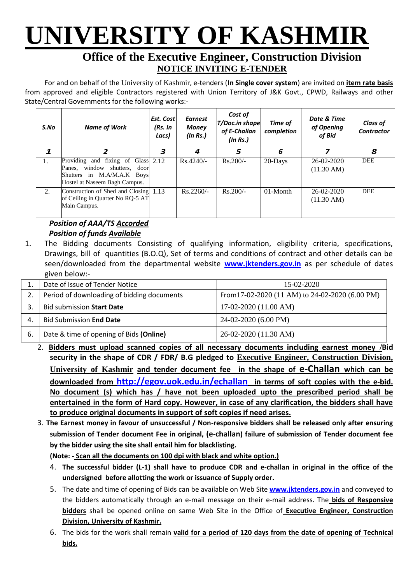# **UNIVERSITY OF KASHMIR**

## **Office of the Executive Engineer, Construction Division NOTICE INVITING E-TENDER**

For and on behalf of the University of Kashmir, e-tenders (**In Single cover system**) are invited on **item rate basis** from approved and eligible Contractors registered with Union Territory of J&K Govt., CPWD, Railways and other State/Central Governments for the following works:-

| S.No | <b>Name of Work</b>                                                                                                                     | Est. Cost<br>(Rs. In<br>Lacs) | <b>Earnest</b><br><b>Money</b><br>(ln Rs.) | Cost of<br><b>T/Doc.in shape</b><br>of E-Challan<br>(ln Rs.) | Time of<br>completion | Date & Time<br>of Opening<br>of Bid | <b>Class of</b><br><b>Contractor</b> |
|------|-----------------------------------------------------------------------------------------------------------------------------------------|-------------------------------|--------------------------------------------|--------------------------------------------------------------|-----------------------|-------------------------------------|--------------------------------------|
|      |                                                                                                                                         | 3                             | 4                                          | 5                                                            | 6                     |                                     | 8                                    |
| 1.   | fixing of Glass 2.12<br>Providing and<br>window shutters, door<br>Panes,<br>Shutters in M.A/M.A.K Boys<br>Hostel at Naseem Bagh Campus. |                               | $Rs.4240/-$                                | $Rs.200/-$                                                   | 20-Days               | 26-02-2020<br>$(11.30 \text{ AM})$  | <b>DEE</b>                           |
| 2.   | Construction of Shed and Closing 1.13<br>of Ceiling in Quarter No RQ-5 AT<br>Main Campus.                                               |                               | $Rs.2260/-$                                | $Rs.200/-$                                                   | $01-Month$            | 26-02-2020<br>$(11.30 \text{ AM})$  | <b>DEE</b>                           |

### *Position of AAA/TS Accorded Position of funds Available*

1. The Bidding documents Consisting of qualifying information, eligibility criteria, specifications, Drawings, bill of quantities (B.O.Q), Set of terms and conditions of contract and other details can be seen/downloaded from the departmental website **[w](http://www.pmgsytendersjk.gov.in/)ww.jktenders.gov.in** as per schedule of dates given below:-

|    | Date of Issue of Tender Notice             | 15-02-2020                                      |
|----|--------------------------------------------|-------------------------------------------------|
| 2. | Period of downloading of bidding documents | From 17-02-2020 (11 AM) to 24-02-2020 (6.00 PM) |
|    | <b>Bid submission Start Date</b>           | $17-02-2020(11.00 AM)$                          |
| 4. | <b>Bid Submission End Date</b>             | 24-02-2020 (6.00 PM)                            |
| 6. | Date & time of opening of Bids (Online)    | 26-02-2020 (11.30 AM)                           |

- 2. **Bidders must upload scanned copies of all necessary documents including earnest money /Bid security in the shape of CDR / FDR/ B.G pledged to Executive Engineer, Construction Division, University of Kashmir and tender document fee in the shape of e-Challan which can be downloaded from <http://egov.uok.edu.in/echallan> in terms of soft copies with the e-bid. No document (s) which has / have not been uploaded upto the prescribed period shall be entertained in the form of Hard copy. However, in case of any clarification, the bidders shall have to produce original documents in support of soft copies if need arises.**
- 3. **The Earnest money in favour of unsuccessful / Non-responsive bidders shall be released only after ensuring submission of Tender document Fee in original, (e-challan) failure of submission of Tender document fee by the bidder using the site shall entail him for blacklisting.**

**(Note: - Scan all the documents on 100 dpi with black and white option.)**

- 4. **The successful bidder (L-1) shall have to produce CDR and e-challan in original in the office of the undersigned before allotting the work or issuance of Supply order.**
- 5. The date and time of opening of Bids can be available on Web Site **[www.jktenders.gov.in](http://www.pmgsytendersjk.gov.in/)** and conveyed to the bidders automatically through an e-mail message on their e-mail address. The **bids of Responsive bidders** shall be opened online on same Web Site in the Office of **Executive Engineer, Construction Division, University of Kashmir.**
- 6. The bids for the work shall remain **valid for a period of 120 days from the date of opening of Technical bids.**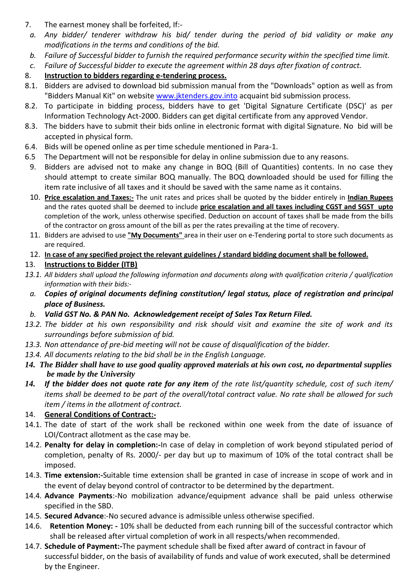- 7. The earnest money shall be forfeited, If:-
- *a. Any bidder/ tenderer withdraw his bid/ tender during the period of bid validity or make any modifications in the terms and conditions of the bid.*
- *b. Failure of Successful bidder to furnish the required performance security within the specified time limit.*
- *c. Failure of Successful bidder to execute the agreement within 28 days after fixation of contract.*

### 8. **Instruction to bidders regarding e-tendering process.**

- 8.1. Bidders are advised to download bid submission manual from the "Downloads" option as well as from "Bidders Manual Kit" on website [www.jktenders.gov.into](http://www.pmgsytendersjk.gov.into/) acquaint bid submission process.
- 8.2. To participate in bidding process, bidders have to get 'Digital Signature Certificate (DSC)' as per Information Technology Act-2000. Bidders can get digital certificate from any approved Vendor.
- 8.3. The bidders have to submit their bids online in electronic format with digital Signature. No bid will be accepted in physical form.
- 6.4. Bids will be opened online as per time schedule mentioned in Para-1.
- 6.5 The Department will not be responsible for delay in online submission due to any reasons.
- 9. Bidders are advised not to make any change in BOQ (Bill of Quantities) contents. In no case they should attempt to create similar BOQ manually. The BOQ downloaded should be used for filling the item rate inclusive of all taxes and it should be saved with the same name as it contains.
- 10. **Price escalation and Taxes:-** The unit rates and prices shall be quoted by the bidder entirely in **Indian Rupees** and the rates quoted shall be deemed to include **price escalation and all taxes including CGST and SGST upto** completion of the work, unless otherwise specified. Deduction on account of taxes shall be made from the bills of the contractor on gross amount of the bill as per the rates prevailing at the time of recovery.
- 11. Bidders are advised to use **"My Documents"** area in their user on e-Tendering portal to store such documents as are required.
- 12. **In case of any specified project the relevant guidelines / standard bidding document shall be followed.**
- 13. **Instructions to Bidder (ITB)**
- *13.1. All bidders shall upload the following information and documents along with qualification criteria / qualification information with their bids:*
	- *a. Copies of original documents defining constitution/ legal status, place of registration and principal place of Business.*
- *b. Valid GST No. & PAN No. Acknowledgement receipt of Sales Tax Return Filed.*
- *13.2. The bidder at his own responsibility and risk should visit and examine the site of work and its surroundings before submission of bid.*
- *13.3. Non attendance of pre-bid meeting will not be cause of disqualification of the bidder.*
- *13.4. All documents relating to the bid shall be in the English Language.*
- *14. The Bidder shall have to use good quality approved materials at his own cost, no departmental supplies be made by the University*
- *14. If the bidder does not quote rate for any item of the rate list/quantity schedule, cost of such item/ items shall be deemed to be part of the overall/total contract value. No rate shall be allowed for such item / items in the allotment of contract.*

#### 14. **General Conditions of Contract:-**

- 14.1. The date of start of the work shall be reckoned within one week from the date of issuance of LOI/Contract allotment as the case may be.
- 14.2. **Penalty for delay in completion:-**In case of delay in completion of work beyond stipulated period of completion, penalty of Rs. 2000/- per day but up to maximum of 10% of the total contract shall be imposed.
- 14.3. **Time extension:-**Suitable time extension shall be granted in case of increase in scope of work and in the event of delay beyond control of contractor to be determined by the department.
- 14.4. **Advance Payments**:-No mobilization advance/equipment advance shall be paid unless otherwise specified in the SBD.
- 14.5. **Secured Advance**:-No secured advance is admissible unless otherwise specified.
- 14.6. **Retention Money: -** 10% shall be deducted from each running bill of the successful contractor which shall be released after virtual completion of work in all respects/when recommended.
- 14.7. **Schedule of Payment:-**The payment schedule shall be fixed after award of contract in favour of successful bidder, on the basis of availability of funds and value of work executed, shall be determined by the Engineer.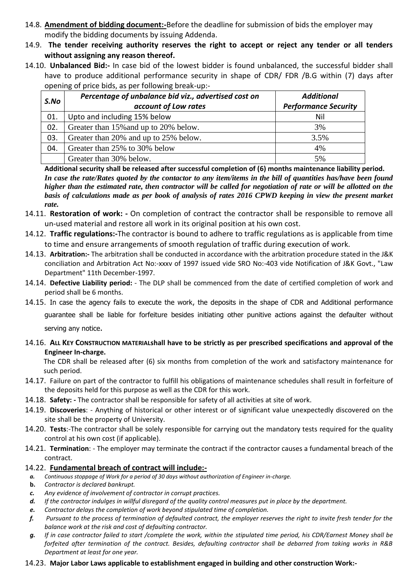- 14.8. **Amendment of bidding document:-**Before the deadline for submission of bids the employer may modify the bidding documents by issuing Addenda.
- 14.9. **The tender receiving authority reserves the right to accept or reject any tender or all tenders without assigning any reason thereof.**
- 14.10. **Unbalanced Bid:-** In case bid of the lowest bidder is found unbalanced, the successful bidder shall have to produce additional performance security in shape of CDR/ FDR /B.G within (7) days after opening of price bids, as per following break-up:-

| S.No | Percentage of unbalance bid viz., advertised cost on | <b>Additional</b>           |  |
|------|------------------------------------------------------|-----------------------------|--|
|      | account of Low rates                                 | <b>Performance Security</b> |  |
| 01.  | Upto and including 15% below                         | Nil                         |  |
| 02.  | Greater than 15% and up to 20% below.                | 3%                          |  |
| 03.  | Greater than 20% and up to 25% below.                | 3.5%                        |  |
| 04.  | Greater than 25% to 30% below                        | 4%                          |  |
|      | Greater than 30% below.                              | 5%                          |  |

**Additional security shall be released after successful completion of (6) months maintenance liability period.** *In case the rate/Rates quoted by the contactor to any item/items in the bill of quantities has/have been found higher than the estimated rate, then contractor will be called for negotiation of rate or will be allotted on the basis of calculations made as per book of analysis of rates 2016 CPWD keeping in view the present market rate.* 

- 14.11. **Restoration of work: -** On completion of contract the contractor shall be responsible to remove all un-used material and restore all work in its original position at his own cost.
- 14.12. **Traffic regulations:-**The contractor is bound to adhere to traffic regulations as is applicable from time to time and ensure arrangements of smooth regulation of traffic during execution of work.
- 14.13. **Arbitration:-** The arbitration shall be conducted in accordance with the arbitration procedure stated in the J&K conciliation and Arbitration Act No:-xxxv of 1997 issued vide SRO No:-403 vide Notification of J&K Govt., "Law Department" 11th December-1997.
- 14.14. **Defective Liability period:** The DLP shall be commenced from the date of certified completion of work and period shall be 6 months.
- 14.15. In case the agency fails to execute the work, the deposits in the shape of CDR and Additional performance

guarantee shall be liable for forfeiture besides initiating other punitive actions against the defaulter without

serving any notice.

14.16. **ALL KEY CONSTRUCTION MATERIALshall have to be strictly as per prescribed specifications and approval of the Engineer In-charge.** 

The CDR shall be released after (6) six months from completion of the work and satisfactory maintenance for such period.

- 14.17. Failure on part of the contractor to fulfill his obligations of maintenance schedules shall result in forfeiture of the deposits held for this purpose as well as the CDR for this work.
- 14.18. **Safety: -** The contractor shall be responsible for safety of all activities at site of work.
- 14.19. **Discoveries**: Anything of historical or other interest or of significant value unexpectedly discovered on the site shall be the property of University.
- 14.20. **Tests**:-The contractor shall be solely responsible for carrying out the mandatory tests required for the quality control at his own cost (if applicable).
- 14.21. **Termination**: The employer may terminate the contract if the contractor causes a fundamental breach of the contract.

#### 14.22. **Fundamental breach of contract will include:-**

- *a. Continuous stoppage of Work for a period of 30 days without authorization of Engineer in-charge.*
- **b.** *Contractor is declared bankrupt.*
- *c. Any evidence of involvement of contractor in corrupt practices.*
- *d. If the contractor indulges in willful disregard of the quality control measures put in place by the department.*
- *e. Contractor delays the completion of work beyond stipulated time of completion.*
- *f. Pursuant to the process of termination of defaulted contract, the employer reserves the right to invite fresh tender for the balance work at the risk and cost of defaulting contractor.*
- *g. If in case contractor failed to start /complete the work, within the stipulated time period, his CDR/Earnest Money shall be forfeited after termination of the contract. Besides, defaulting contractor shall be debarred from taking works in R&B Department at least for one year.*
- 14.23. **Major Labor Laws applicable to establishment engaged in building and other construction Work:-**